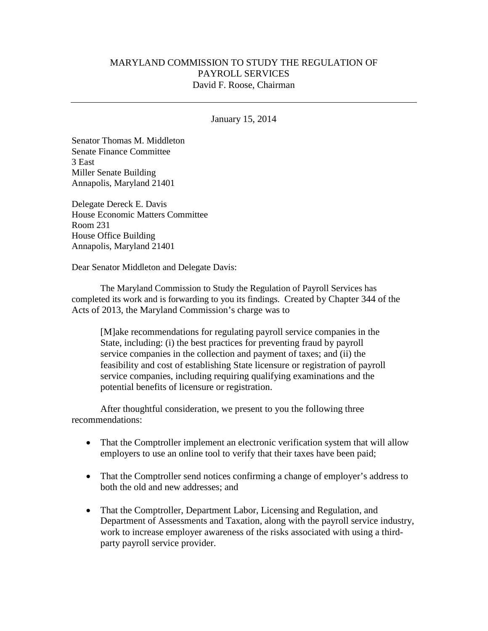## MARYLAND COMMISSION TO STUDY THE REGULATION OF PAYROLL SERVICES David F. Roose, Chairman

#### January 15, 2014

Senator Thomas M. Middleton Senate Finance Committee 3 East Miller Senate Building Annapolis, Maryland 21401

Delegate Dereck E. Davis House Economic Matters Committee Room 231 House Office Building Annapolis, Maryland 21401

Dear Senator Middleton and Delegate Davis:

The Maryland Commission to Study the Regulation of Payroll Services has completed its work and is forwarding to you its findings. Created by Chapter 344 of the Acts of 2013, the Maryland Commission's charge was to

[M]ake recommendations for regulating payroll service companies in the State, including: (i) the best practices for preventing fraud by payroll service companies in the collection and payment of taxes; and (ii) the feasibility and cost of establishing State licensure or registration of payroll service companies, including requiring qualifying examinations and the potential benefits of licensure or registration.

After thoughtful consideration, we present to you the following three recommendations:

- That the Comptroller implement an electronic verification system that will allow employers to use an online tool to verify that their taxes have been paid;
- That the Comptroller send notices confirming a change of employer's address to both the old and new addresses; and
- That the Comptroller, Department Labor, Licensing and Regulation, and Department of Assessments and Taxation, along with the payroll service industry, work to increase employer awareness of the risks associated with using a thirdparty payroll service provider.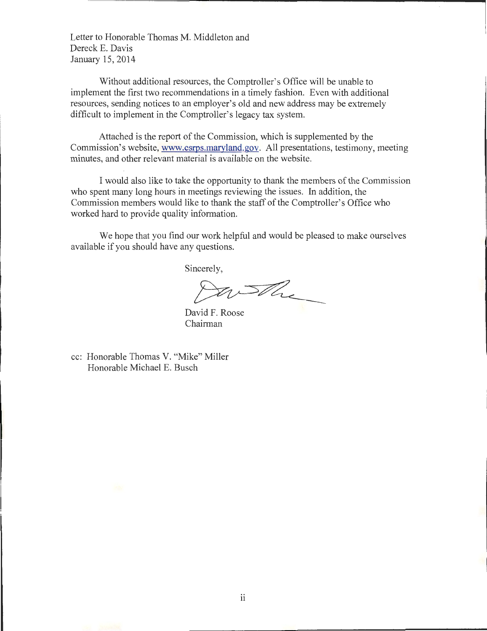Letter to Honorable Thomas M. Middleton and Dereck E. Davis January 15, 2014

Without additional resources, the Comptroller's Office will be unable to implement the first two recommendations in a timely fashion. Even with additional resources, sending notices to an employer's old and new address may be extremely difficult to implement in the Comptroller's legacy tax system.

Attached is the report of the Commission, which is supplemented by the Commission's website, www.csrps.maryland.gov. All presentations, testimony, meeting minutes, and other relevant material is available on the website.

I would also like to take the opportunity to thank the members of the Commission who spent many long hours in meetings reviewing the issues. In addition, the Commission members would like to thank the staff of the Comptroller's Office who worked hard to provide quality information.

We hope that you find our work helpful and would be pleased to make ourselves available if you should have any questions.

Sincerely,

Partha

David F. Roose Chairman

cc: Honorable Thomas V. "Mike" Miller Honorable Michael E. Busch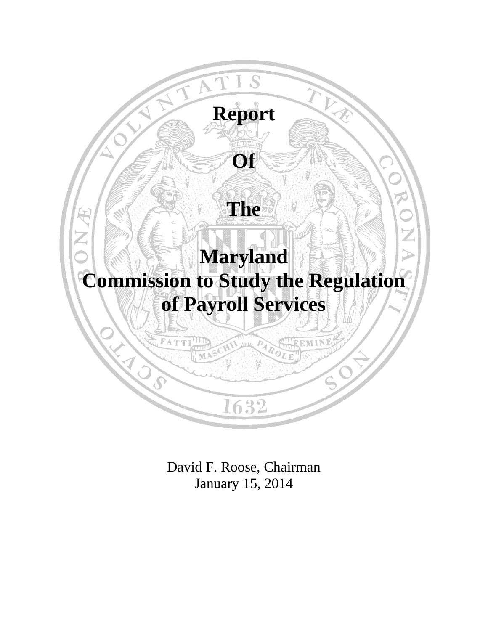

David F. Roose, Chairman January 15, 2014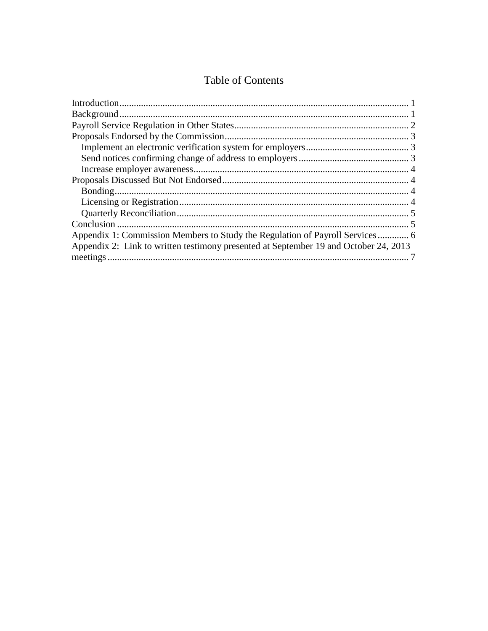# Table of Contents

| Appendix 2: Link to written testimony presented at September 19 and October 24, 2013 |  |
|--------------------------------------------------------------------------------------|--|
|                                                                                      |  |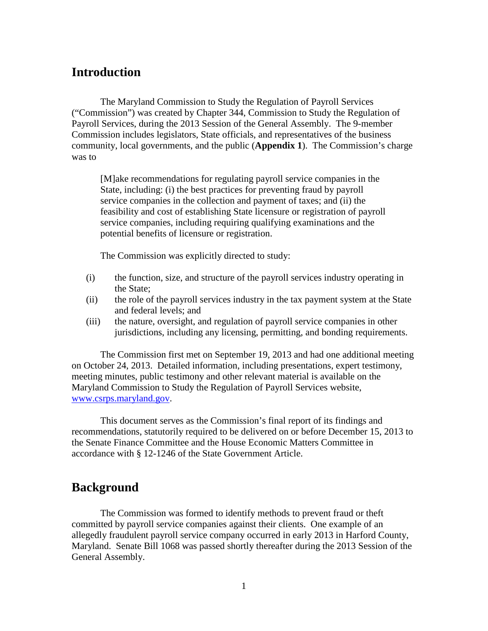## <span id="page-4-0"></span>**Introduction**

The Maryland Commission to Study the Regulation of Payroll Services ("Commission") was created by Chapter 344, Commission to Study the Regulation of Payroll Services, during the 2013 Session of the General Assembly. The 9-member Commission includes legislators, State officials, and representatives of the business community, local governments, and the public (**Appendix 1**). The Commission's charge was to

[M]ake recommendations for regulating payroll service companies in the State, including: (i) the best practices for preventing fraud by payroll service companies in the collection and payment of taxes; and (ii) the feasibility and cost of establishing State licensure or registration of payroll service companies, including requiring qualifying examinations and the potential benefits of licensure or registration.

The Commission was explicitly directed to study:

- (i) the function, size, and structure of the payroll services industry operating in the State;
- (ii) the role of the payroll services industry in the tax payment system at the State and federal levels; and
- (iii) the nature, oversight, and regulation of payroll service companies in other jurisdictions, including any licensing, permitting, and bonding requirements.

The Commission first met on September 19, 2013 and had one additional meeting on October 24, 2013. Detailed information, including presentations, expert testimony, meeting minutes, public testimony and other relevant material is available on the Maryland Commission to Study the Regulation of Payroll Services website, [www.csrps.maryland.gov.](http://www.csrps.maryland.gov/)

This document serves as the Commission's final report of its findings and recommendations, statutorily required to be delivered on or before December 15, 2013 to the Senate Finance Committee and the House Economic Matters Committee in accordance with § 12-1246 of the State Government Article.

# <span id="page-4-1"></span>**Background**

The Commission was formed to identify methods to prevent fraud or theft committed by payroll service companies against their clients. One example of an allegedly fraudulent payroll service company occurred in early 2013 in Harford County, Maryland. Senate Bill 1068 was passed shortly thereafter during the 2013 Session of the General Assembly.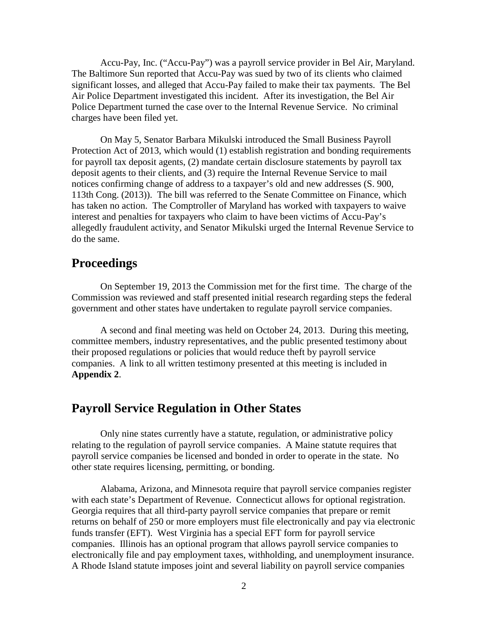Accu-Pay, Inc. ("Accu-Pay") was a payroll service provider in Bel Air, Maryland. The Baltimore Sun reported that Accu-Pay was sued by two of its clients who claimed significant losses, and alleged that Accu-Pay failed to make their tax payments. The Bel Air Police Department investigated this incident. After its investigation, the Bel Air Police Department turned the case over to the Internal Revenue Service. No criminal charges have been filed yet.

On May 5, Senator Barbara Mikulski introduced the Small Business Payroll Protection Act of 2013, which would (1) establish registration and bonding requirements for payroll tax deposit agents, (2) mandate certain disclosure statements by payroll tax deposit agents to their clients, and (3) require the Internal Revenue Service to mail notices confirming change of address to a taxpayer's old and new addresses (S. 900, 113th Cong. (2013)). The bill was referred to the Senate Committee on Finance, which has taken no action. The Comptroller of Maryland has worked with taxpayers to waive interest and penalties for taxpayers who claim to have been victims of Accu-Pay's allegedly fraudulent activity, and Senator Mikulski urged the Internal Revenue Service to do the same.

## **Proceedings**

On September 19, 2013 the Commission met for the first time. The charge of the Commission was reviewed and staff presented initial research regarding steps the federal government and other states have undertaken to regulate payroll service companies.

A second and final meeting was held on October 24, 2013. During this meeting, committee members, industry representatives, and the public presented testimony about their proposed regulations or policies that would reduce theft by payroll service companies. A link to all written testimony presented at this meeting is included in **Appendix 2**.

## <span id="page-5-0"></span>**Payroll Service Regulation in Other States**

Only nine states currently have a statute, regulation, or administrative policy relating to the regulation of payroll service companies. A Maine statute requires that payroll service companies be licensed and bonded in order to operate in the state. No other state requires licensing, permitting, or bonding.

Alabama, Arizona, and Minnesota require that payroll service companies register with each state's Department of Revenue. Connecticut allows for optional registration. Georgia requires that all third-party payroll service companies that prepare or remit returns on behalf of 250 or more employers must file electronically and pay via electronic funds transfer (EFT). West Virginia has a special EFT form for payroll service companies. Illinois has an optional program that allows payroll service companies to electronically file and pay employment taxes, withholding, and unemployment insurance. A Rhode Island statute imposes joint and several liability on payroll service companies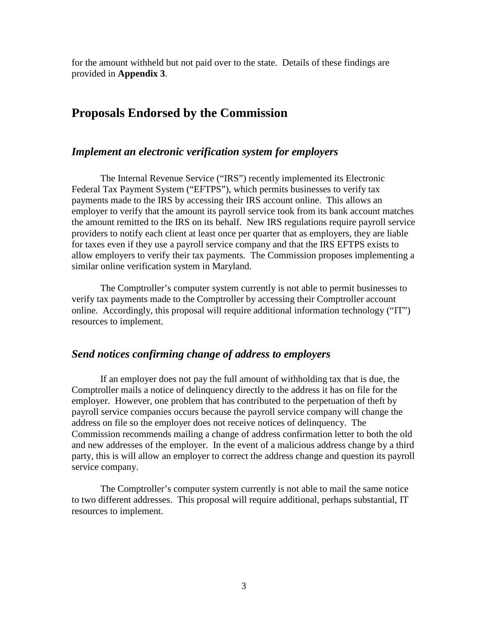for the amount withheld but not paid over to the state. Details of these findings are provided in **Appendix 3**.

# <span id="page-6-0"></span>**Proposals Endorsed by the Commission**

#### <span id="page-6-1"></span>*Implement an electronic verification system for employers*

The Internal Revenue Service ("IRS") recently implemented its Electronic Federal Tax Payment System ("EFTPS"), which permits businesses to verify tax payments made to the IRS by accessing their IRS account online. This allows an employer to verify that the amount its payroll service took from its bank account matches the amount remitted to the IRS on its behalf. New IRS regulations require payroll service providers to notify each client at least once per quarter that as employers, they are liable for taxes even if they use a payroll service company and that the IRS EFTPS exists to allow employers to verify their tax payments. The Commission proposes implementing a similar online verification system in Maryland.

The Comptroller's computer system currently is not able to permit businesses to verify tax payments made to the Comptroller by accessing their Comptroller account online. Accordingly, this proposal will require additional information technology ("IT") resources to implement.

## <span id="page-6-2"></span>*Send notices confirming change of address to employers*

If an employer does not pay the full amount of withholding tax that is due, the Comptroller mails a notice of delinquency directly to the address it has on file for the employer. However, one problem that has contributed to the perpetuation of theft by payroll service companies occurs because the payroll service company will change the address on file so the employer does not receive notices of delinquency. The Commission recommends mailing a change of address confirmation letter to both the old and new addresses of the employer. In the event of a malicious address change by a third party, this is will allow an employer to correct the address change and question its payroll service company.

The Comptroller's computer system currently is not able to mail the same notice to two different addresses. This proposal will require additional, perhaps substantial, IT resources to implement.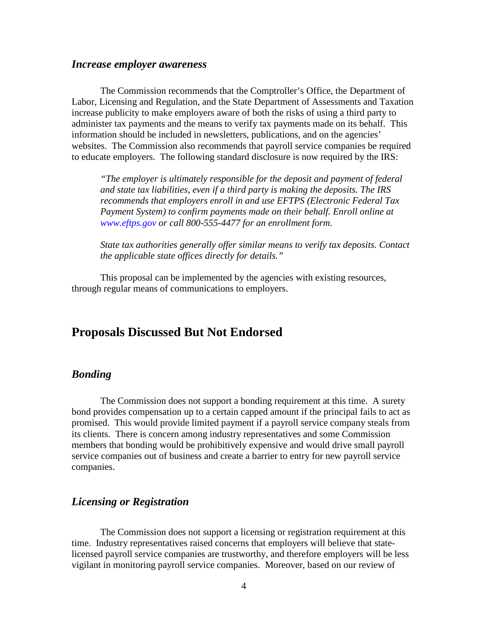#### <span id="page-7-0"></span>*Increase employer awareness*

The Commission recommends that the Comptroller's Office, the Department of Labor, Licensing and Regulation, and the State Department of Assessments and Taxation increase publicity to make employers aware of both the risks of using a third party to administer tax payments and the means to verify tax payments made on its behalf. This information should be included in newsletters, publications, and on the agencies' websites. The Commission also recommends that payroll service companies be required to educate employers. The following standard disclosure is now required by the IRS:

*"The employer is ultimately responsible for the deposit and payment of federal and state tax liabilities, even if a third party is making the deposits. The IRS recommends that employers enroll in and use EFTPS (Electronic Federal Tax Payment System) to confirm payments made on their behalf. Enroll online at www.eftps.gov or call 800-555-4477 for an enrollment form.*

*State tax authorities generally offer similar means to verify tax deposits. Contact the applicable state offices directly for details."*

This proposal can be implemented by the agencies with existing resources, through regular means of communications to employers.

## <span id="page-7-1"></span>**Proposals Discussed But Not Endorsed**

## <span id="page-7-2"></span>*Bonding*

The Commission does not support a bonding requirement at this time. A surety bond provides compensation up to a certain capped amount if the principal fails to act as promised. This would provide limited payment if a payroll service company steals from its clients. There is concern among industry representatives and some Commission members that bonding would be prohibitively expensive and would drive small payroll service companies out of business and create a barrier to entry for new payroll service companies.

## <span id="page-7-3"></span>*Licensing or Registration*

The Commission does not support a licensing or registration requirement at this time. Industry representatives raised concerns that employers will believe that statelicensed payroll service companies are trustworthy, and therefore employers will be less vigilant in monitoring payroll service companies. Moreover, based on our review of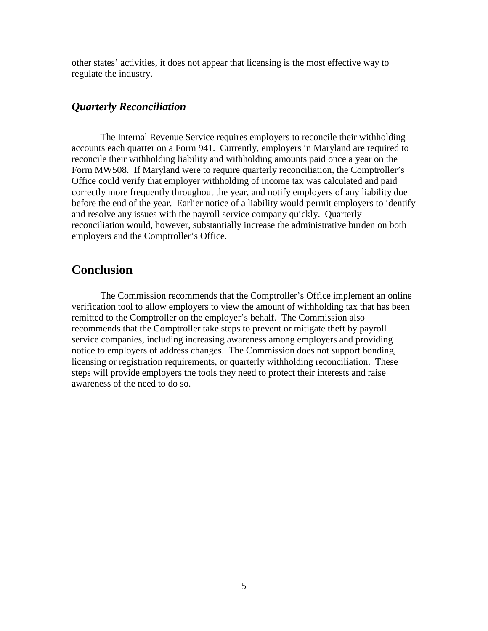other states' activities, it does not appear that licensing is the most effective way to regulate the industry.

## <span id="page-8-0"></span>*Quarterly Reconciliation*

The Internal Revenue Service requires employers to reconcile their withholding accounts each quarter on a Form 941. Currently, employers in Maryland are required to reconcile their withholding liability and withholding amounts paid once a year on the Form MW508. If Maryland were to require quarterly reconciliation, the Comptroller's Office could verify that employer withholding of income tax was calculated and paid correctly more frequently throughout the year, and notify employers of any liability due before the end of the year. Earlier notice of a liability would permit employers to identify and resolve any issues with the payroll service company quickly. Quarterly reconciliation would, however, substantially increase the administrative burden on both employers and the Comptroller's Office.

## <span id="page-8-1"></span>**Conclusion**

The Commission recommends that the Comptroller's Office implement an online verification tool to allow employers to view the amount of withholding tax that has been remitted to the Comptroller on the employer's behalf. The Commission also recommends that the Comptroller take steps to prevent or mitigate theft by payroll service companies, including increasing awareness among employers and providing notice to employers of address changes. The Commission does not support bonding, licensing or registration requirements, or quarterly withholding reconciliation. These steps will provide employers the tools they need to protect their interests and raise awareness of the need to do so.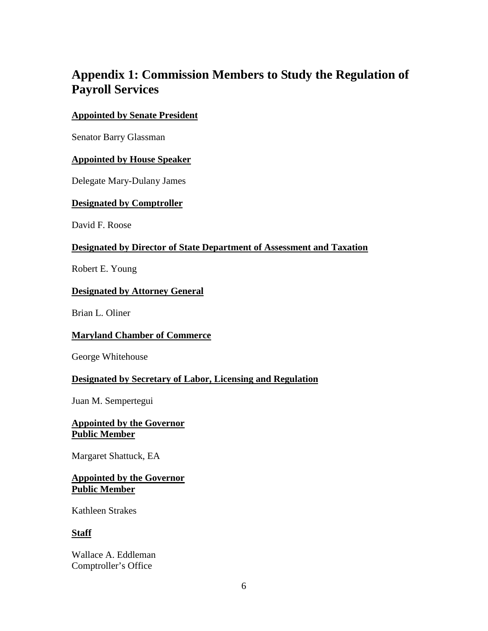# <span id="page-9-0"></span>**Appendix 1: Commission Members to Study the Regulation of Payroll Services**

## **Appointed by Senate President**

Senator Barry Glassman

## **Appointed by House Speaker**

Delegate Mary-Dulany James

## **Designated by Comptroller**

David F. Roose

## **Designated by Director of State Department of Assessment and Taxation**

Robert E. Young

#### **Designated by Attorney General**

Brian L. Oliner

## **Maryland Chamber of Commerce**

George Whitehouse

## **Designated by Secretary of Labor, Licensing and Regulation**

Juan M. Sempertegui

## **Appointed by the Governor Public Member**

Margaret Shattuck, EA

## **Appointed by the Governor Public Member**

Kathleen Strakes

## **Staff**

Wallace A. Eddleman Comptroller's Office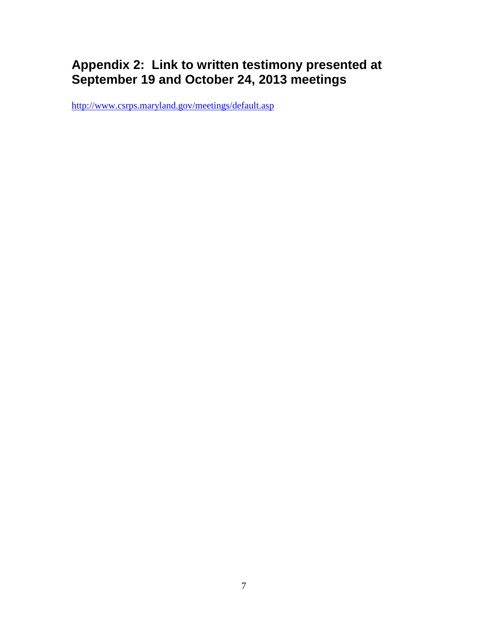# <span id="page-10-0"></span>**Appendix 2: Link to written testimony presented at September 19 and October 24, 2013 meetings**

<http://www.csrps.maryland.gov/meetings/default.asp>